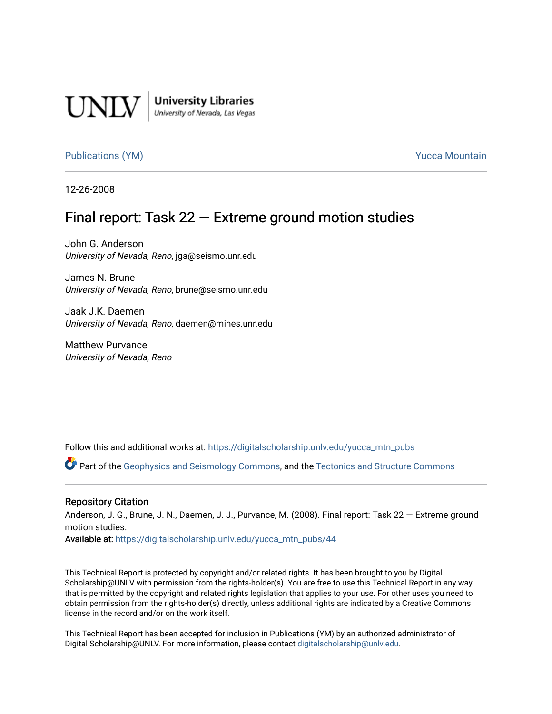

**University Libraries**<br>University of Nevada, Las Vegas

[Publications \(YM\)](https://digitalscholarship.unlv.edu/yucca_mtn_pubs) **Publications** (YM) **Publications** (YM)

12-26-2008

# Final report: Task  $22$  – Extreme ground motion studies

John G. Anderson University of Nevada, Reno, jga@seismo.unr.edu

James N. Brune University of Nevada, Reno, brune@seismo.unr.edu

Jaak J.K. Daemen University of Nevada, Reno, daemen@mines.unr.edu

Matthew Purvance University of Nevada, Reno

Follow this and additional works at: [https://digitalscholarship.unlv.edu/yucca\\_mtn\\_pubs](https://digitalscholarship.unlv.edu/yucca_mtn_pubs?utm_source=digitalscholarship.unlv.edu%2Fyucca_mtn_pubs%2F44&utm_medium=PDF&utm_campaign=PDFCoverPages)

Part of the [Geophysics and Seismology Commons,](http://network.bepress.com/hgg/discipline/158?utm_source=digitalscholarship.unlv.edu%2Fyucca_mtn_pubs%2F44&utm_medium=PDF&utm_campaign=PDFCoverPages) and the [Tectonics and Structure Commons](http://network.bepress.com/hgg/discipline/164?utm_source=digitalscholarship.unlv.edu%2Fyucca_mtn_pubs%2F44&utm_medium=PDF&utm_campaign=PDFCoverPages) 

#### Repository Citation

Anderson, J. G., Brune, J. N., Daemen, J. J., Purvance, M. (2008). Final report: Task 22 — Extreme ground motion studies.

Available at: [https://digitalscholarship.unlv.edu/yucca\\_mtn\\_pubs/44](https://digitalscholarship.unlv.edu/yucca_mtn_pubs/44) 

This Technical Report is protected by copyright and/or related rights. It has been brought to you by Digital Scholarship@UNLV with permission from the rights-holder(s). You are free to use this Technical Report in any way that is permitted by the copyright and related rights legislation that applies to your use. For other uses you need to obtain permission from the rights-holder(s) directly, unless additional rights are indicated by a Creative Commons license in the record and/or on the work itself.

This Technical Report has been accepted for inclusion in Publications (YM) by an authorized administrator of Digital Scholarship@UNLV. For more information, please contact [digitalscholarship@unlv.edu](mailto:digitalscholarship@unlv.edu).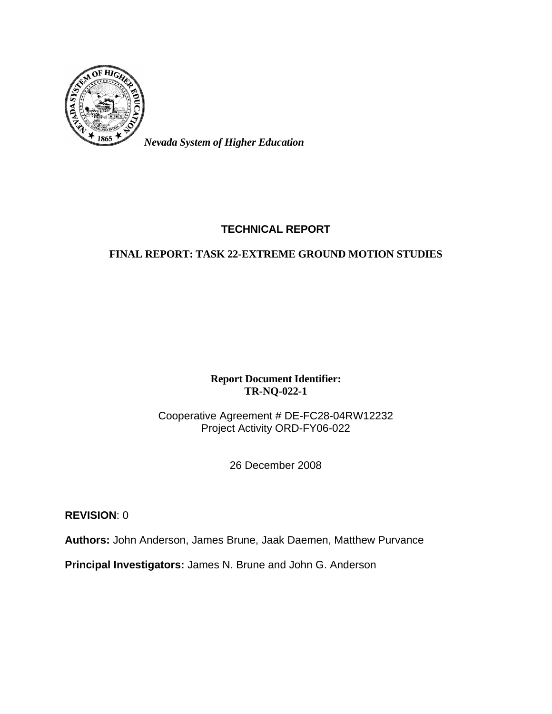

*Nevada System of Higher Education* 

# **TECHNICAL REPORT**

# **FINAL REPORT: TASK 22-EXTREME GROUND MOTION STUDIES**

**Report Document Identifier: TR-NQ-022-1** 

Cooperative Agreement # DE-FC28-04RW12232 Project Activity ORD-FY06-022

26 December 2008

**REVISION**: 0

**Authors:** John Anderson, James Brune, Jaak Daemen, Matthew Purvance

**Principal Investigators:** James N. Brune and John G. Anderson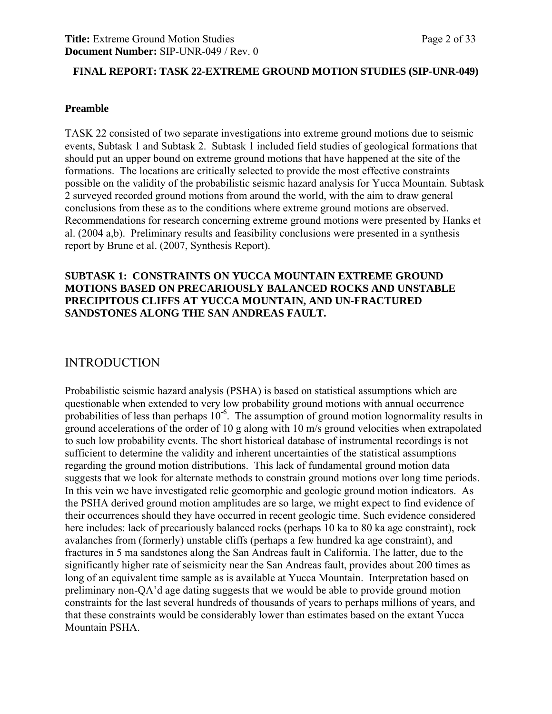#### **FINAL REPORT: TASK 22-EXTREME GROUND MOTION STUDIES (SIP-UNR-049)**

#### **Preamble**

TASK 22 consisted of two separate investigations into extreme ground motions due to seismic events, Subtask 1 and Subtask 2. Subtask 1 included field studies of geological formations that should put an upper bound on extreme ground motions that have happened at the site of the formations. The locations are critically selected to provide the most effective constraints possible on the validity of the probabilistic seismic hazard analysis for Yucca Mountain. Subtask 2 surveyed recorded ground motions from around the world, with the aim to draw general conclusions from these as to the conditions where extreme ground motions are observed. Recommendations for research concerning extreme ground motions were presented by Hanks et al. (2004 a,b). Preliminary results and feasibility conclusions were presented in a synthesis report by Brune et al. (2007, Synthesis Report).

#### **SUBTASK 1: CONSTRAINTS ON YUCCA MOUNTAIN EXTREME GROUND MOTIONS BASED ON PRECARIOUSLY BALANCED ROCKS AND UNSTABLE PRECIPITOUS CLIFFS AT YUCCA MOUNTAIN, AND UN-FRACTURED SANDSTONES ALONG THE SAN ANDREAS FAULT.**

## INTRODUCTION

Probabilistic seismic hazard analysis (PSHA) is based on statistical assumptions which are questionable when extended to very low probability ground motions with annual occurrence probabilities of less than perhaps  $10^{-6}$ . The assumption of ground motion lognormality results in ground accelerations of the order of 10 g along with 10 m/s ground velocities when extrapolated to such low probability events. The short historical database of instrumental recordings is not sufficient to determine the validity and inherent uncertainties of the statistical assumptions regarding the ground motion distributions. This lack of fundamental ground motion data suggests that we look for alternate methods to constrain ground motions over long time periods. In this vein we have investigated relic geomorphic and geologic ground motion indicators. As the PSHA derived ground motion amplitudes are so large, we might expect to find evidence of their occurrences should they have occurred in recent geologic time. Such evidence considered here includes: lack of precariously balanced rocks (perhaps 10 ka to 80 ka age constraint), rock avalanches from (formerly) unstable cliffs (perhaps a few hundred ka age constraint), and fractures in 5 ma sandstones along the San Andreas fault in California. The latter, due to the significantly higher rate of seismicity near the San Andreas fault, provides about 200 times as long of an equivalent time sample as is available at Yucca Mountain. Interpretation based on preliminary non-QA'd age dating suggests that we would be able to provide ground motion constraints for the last several hundreds of thousands of years to perhaps millions of years, and that these constraints would be considerably lower than estimates based on the extant Yucca Mountain PSHA.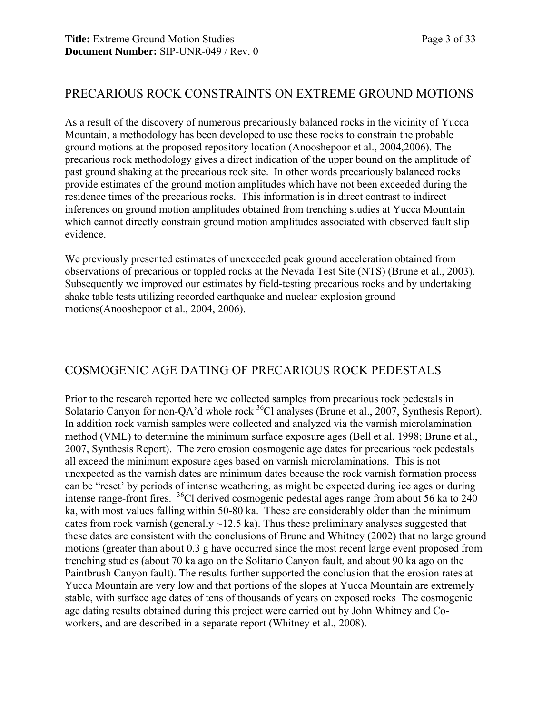## PRECARIOUS ROCK CONSTRAINTS ON EXTREME GROUND MOTIONS

As a result of the discovery of numerous precariously balanced rocks in the vicinity of Yucca Mountain, a methodology has been developed to use these rocks to constrain the probable ground motions at the proposed repository location (Anooshepoor et al., 2004,2006). The precarious rock methodology gives a direct indication of the upper bound on the amplitude of past ground shaking at the precarious rock site. In other words precariously balanced rocks provide estimates of the ground motion amplitudes which have not been exceeded during the residence times of the precarious rocks. This information is in direct contrast to indirect inferences on ground motion amplitudes obtained from trenching studies at Yucca Mountain which cannot directly constrain ground motion amplitudes associated with observed fault slip evidence.

We previously presented estimates of unexceeded peak ground acceleration obtained from observations of precarious or toppled rocks at the Nevada Test Site (NTS) (Brune et al., 2003). Subsequently we improved our estimates by field-testing precarious rocks and by undertaking shake table tests utilizing recorded earthquake and nuclear explosion ground motions(Anooshepoor et al., 2004, 2006).

# COSMOGENIC AGE DATING OF PRECARIOUS ROCK PEDESTALS

Prior to the research reported here we collected samples from precarious rock pedestals in Solatario Canyon for non-QA'd whole rock <sup>36</sup>Cl analyses (Brune et al., 2007, Synthesis Report). In addition rock varnish samples were collected and analyzed via the varnish microlamination method (VML) to determine the minimum surface exposure ages (Bell et al. 1998; Brune et al., 2007, Synthesis Report). The zero erosion cosmogenic age dates for precarious rock pedestals all exceed the minimum exposure ages based on varnish microlaminations. This is not unexpected as the varnish dates are minimum dates because the rock varnish formation process can be "reset' by periods of intense weathering, as might be expected during ice ages or during intense range-front fires. 36Cl derived cosmogenic pedestal ages range from about 56 ka to 240 ka, with most values falling within 50-80 ka. These are considerably older than the minimum dates from rock varnish (generally  $\sim$ 12.5 ka). Thus these preliminary analyses suggested that these dates are consistent with the conclusions of Brune and Whitney (2002) that no large ground motions (greater than about 0.3 g have occurred since the most recent large event proposed from trenching studies (about 70 ka ago on the Solitario Canyon fault, and about 90 ka ago on the Paintbrush Canyon fault). The results further supported the conclusion that the erosion rates at Yucca Mountain are very low and that portions of the slopes at Yucca Mountain are extremely stable, with surface age dates of tens of thousands of years on exposed rocks The cosmogenic age dating results obtained during this project were carried out by John Whitney and Coworkers, and are described in a separate report (Whitney et al., 2008).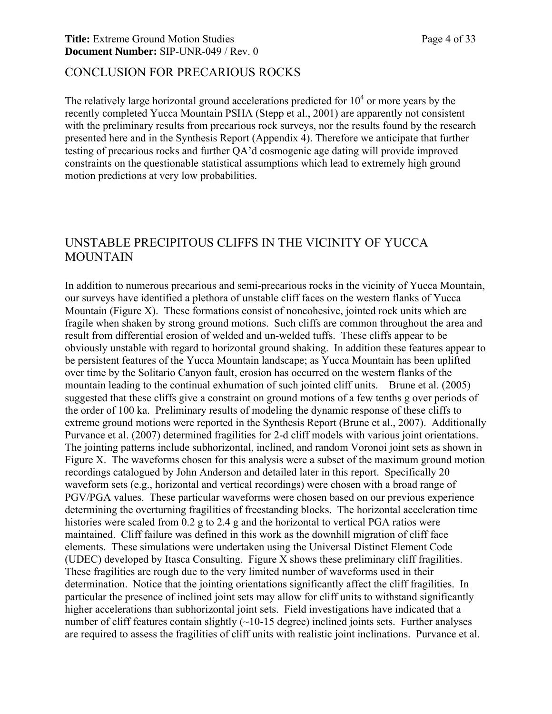#### **Title:** Extreme Ground Motion Studies Page 4 of 33 **Document Number:** SIP-UNR-049 / Rev. 0

### CONCLUSION FOR PRECARIOUS ROCKS

The relatively large horizontal ground accelerations predicted for  $10<sup>4</sup>$  or more years by the recently completed Yucca Mountain PSHA (Stepp et al., 2001) are apparently not consistent with the preliminary results from precarious rock surveys, nor the results found by the research presented here and in the Synthesis Report (Appendix 4). Therefore we anticipate that further testing of precarious rocks and further QA'd cosmogenic age dating will provide improved constraints on the questionable statistical assumptions which lead to extremely high ground motion predictions at very low probabilities.

# UNSTABLE PRECIPITOUS CLIFFS IN THE VICINITY OF YUCCA MOUNTAIN

In addition to numerous precarious and semi-precarious rocks in the vicinity of Yucca Mountain, our surveys have identified a plethora of unstable cliff faces on the western flanks of Yucca Mountain (Figure X). These formations consist of noncohesive, jointed rock units which are fragile when shaken by strong ground motions. Such cliffs are common throughout the area and result from differential erosion of welded and un-welded tuffs. These cliffs appear to be obviously unstable with regard to horizontal ground shaking. In addition these features appear to be persistent features of the Yucca Mountain landscape; as Yucca Mountain has been uplifted over time by the Solitario Canyon fault, erosion has occurred on the western flanks of the mountain leading to the continual exhumation of such jointed cliff units. Brune et al. (2005) suggested that these cliffs give a constraint on ground motions of a few tenths g over periods of the order of 100 ka. Preliminary results of modeling the dynamic response of these cliffs to extreme ground motions were reported in the Synthesis Report (Brune et al., 2007). Additionally Purvance et al. (2007) determined fragilities for 2-d cliff models with various joint orientations. The jointing patterns include subhorizontal, inclined, and random Voronoi joint sets as shown in Figure X. The waveforms chosen for this analysis were a subset of the maximum ground motion recordings catalogued by John Anderson and detailed later in this report. Specifically 20 waveform sets (e.g., horizontal and vertical recordings) were chosen with a broad range of PGV/PGA values. These particular waveforms were chosen based on our previous experience determining the overturning fragilities of freestanding blocks. The horizontal acceleration time histories were scaled from 0.2 g to 2.4 g and the horizontal to vertical PGA ratios were maintained. Cliff failure was defined in this work as the downhill migration of cliff face elements. These simulations were undertaken using the Universal Distinct Element Code (UDEC) developed by Itasca Consulting. Figure X shows these preliminary cliff fragilities. These fragilities are rough due to the very limited number of waveforms used in their determination. Notice that the jointing orientations significantly affect the cliff fragilities. In particular the presence of inclined joint sets may allow for cliff units to withstand significantly higher accelerations than subhorizontal joint sets. Field investigations have indicated that a number of cliff features contain slightly (~10-15 degree) inclined joints sets. Further analyses are required to assess the fragilities of cliff units with realistic joint inclinations. Purvance et al.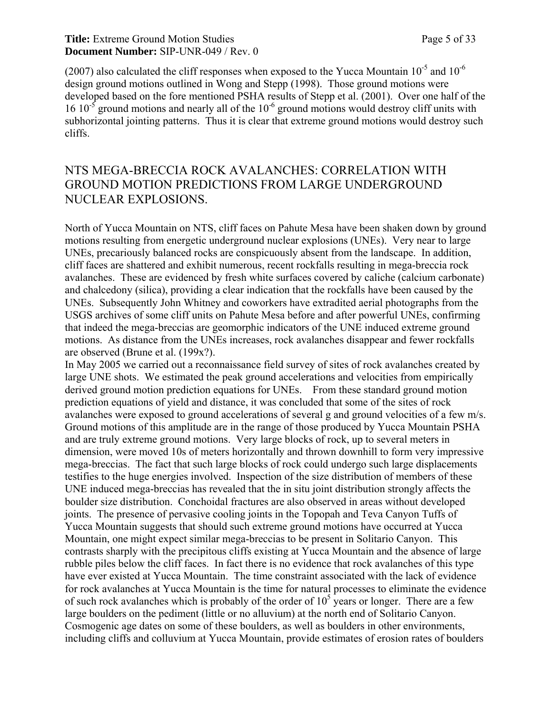#### **Title:** Extreme Ground Motion Studies Page 5 of 33 **Document Number:** SIP-UNR-049 / Rev. 0

(2007) also calculated the cliff responses when exposed to the Yucca Mountain  $10^{-5}$  and  $10^{-6}$ design ground motions outlined in Wong and Stepp (1998). Those ground motions were developed based on the fore mentioned PSHA results of Stepp et al. (2001). Over one half of the 16 10<sup>-5</sup> ground motions and nearly all of the  $10^{-6}$  ground motions would destroy cliff units with subhorizontal jointing patterns. Thus it is clear that extreme ground motions would destroy such cliffs.

# NTS MEGA-BRECCIA ROCK AVALANCHES: CORRELATION WITH GROUND MOTION PREDICTIONS FROM LARGE UNDERGROUND NUCLEAR EXPLOSIONS.

North of Yucca Mountain on NTS, cliff faces on Pahute Mesa have been shaken down by ground motions resulting from energetic underground nuclear explosions (UNEs). Very near to large UNEs, precariously balanced rocks are conspicuously absent from the landscape. In addition, cliff faces are shattered and exhibit numerous, recent rockfalls resulting in mega-breccia rock avalanches. These are evidenced by fresh white surfaces covered by caliche (calcium carbonate) and chalcedony (silica), providing a clear indication that the rockfalls have been caused by the UNEs. Subsequently John Whitney and coworkers have extradited aerial photographs from the USGS archives of some cliff units on Pahute Mesa before and after powerful UNEs, confirming that indeed the mega-breccias are geomorphic indicators of the UNE induced extreme ground motions. As distance from the UNEs increases, rock avalanches disappear and fewer rockfalls are observed (Brune et al. (199x?).

In May 2005 we carried out a reconnaissance field survey of sites of rock avalanches created by large UNE shots. We estimated the peak ground accelerations and velocities from empirically derived ground motion prediction equations for UNEs. From these standard ground motion prediction equations of yield and distance, it was concluded that some of the sites of rock avalanches were exposed to ground accelerations of several g and ground velocities of a few m/s. Ground motions of this amplitude are in the range of those produced by Yucca Mountain PSHA and are truly extreme ground motions. Very large blocks of rock, up to several meters in dimension, were moved 10s of meters horizontally and thrown downhill to form very impressive mega-breccias. The fact that such large blocks of rock could undergo such large displacements testifies to the huge energies involved. Inspection of the size distribution of members of these UNE induced mega-breccias has revealed that the in situ joint distribution strongly affects the boulder size distribution. Conchoidal fractures are also observed in areas without developed joints. The presence of pervasive cooling joints in the Topopah and Teva Canyon Tuffs of Yucca Mountain suggests that should such extreme ground motions have occurred at Yucca Mountain, one might expect similar mega-breccias to be present in Solitario Canyon. This contrasts sharply with the precipitous cliffs existing at Yucca Mountain and the absence of large rubble piles below the cliff faces. In fact there is no evidence that rock avalanches of this type have ever existed at Yucca Mountain. The time constraint associated with the lack of evidence for rock avalanches at Yucca Mountain is the time for natural processes to eliminate the evidence of such rock avalanches which is probably of the order of  $10<sup>5</sup>$  years or longer. There are a few large boulders on the pediment (little or no alluvium) at the north end of Solitario Canyon. Cosmogenic age dates on some of these boulders, as well as boulders in other environments, including cliffs and colluvium at Yucca Mountain, provide estimates of erosion rates of boulders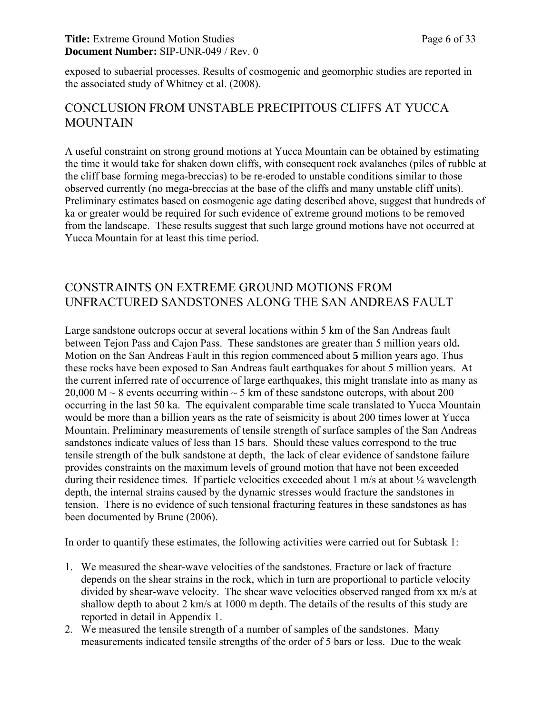#### **Title:** Extreme Ground Motion Studies Page 6 of 33 **Document Number:** SIP-UNR-049 / Rev. 0

exposed to subaerial processes. Results of cosmogenic and geomorphic studies are reported in the associated study of Whitney et al. (2008).

# CONCLUSION FROM UNSTABLE PRECIPITOUS CLIFFS AT YUCCA **MOUNTAIN**

A useful constraint on strong ground motions at Yucca Mountain can be obtained by estimating the time it would take for shaken down cliffs, with consequent rock avalanches (piles of rubble at the cliff base forming mega-breccias) to be re-eroded to unstable conditions similar to those observed currently (no mega-breccias at the base of the cliffs and many unstable cliff units). Preliminary estimates based on cosmogenic age dating described above, suggest that hundreds of ka or greater would be required for such evidence of extreme ground motions to be removed from the landscape. These results suggest that such large ground motions have not occurred at Yucca Mountain for at least this time period.

# CONSTRAINTS ON EXTREME GROUND MOTIONS FROM UNFRACTURED SANDSTONES ALONG THE SAN ANDREAS FAULT

Large sandstone outcrops occur at several locations within 5 km of the San Andreas fault between Tejon Pass and Cajon Pass. These sandstones are greater than 5 million years old**.** Motion on the San Andreas Fault in this region commenced about **5** million years ago. Thus these rocks have been exposed to San Andreas fault earthquakes for about 5 million years. At the current inferred rate of occurrence of large earthquakes, this might translate into as many as 20,000 M  $\sim$  8 events occurring within  $\sim$  5 km of these sandstone outcrops, with about 200 occurring in the last 50 ka. The equivalent comparable time scale translated to Yucca Mountain would be more than a billion years as the rate of seismicity is about 200 times lower at Yucca Mountain. Preliminary measurements of tensile strength of surface samples of the San Andreas sandstones indicate values of less than 15 bars. Should these values correspond to the true tensile strength of the bulk sandstone at depth, the lack of clear evidence of sandstone failure provides constraints on the maximum levels of ground motion that have not been exceeded during their residence times. If particle velocities exceeded about 1 m/s at about  $\frac{1}{4}$  wavelength depth, the internal strains caused by the dynamic stresses would fracture the sandstones in tension. There is no evidence of such tensional fracturing features in these sandstones as has been documented by Brune (2006).

In order to quantify these estimates, the following activities were carried out for Subtask 1:

- 1. We measured the shear-wave velocities of the sandstones. Fracture or lack of fracture depends on the shear strains in the rock, which in turn are proportional to particle velocity divided by shear-wave velocity. The shear wave velocities observed ranged from xx m/s at shallow depth to about 2 km/s at 1000 m depth. The details of the results of this study are reported in detail in Appendix 1.
- 2. We measured the tensile strength of a number of samples of the sandstones. Many measurements indicated tensile strengths of the order of 5 bars or less. Due to the weak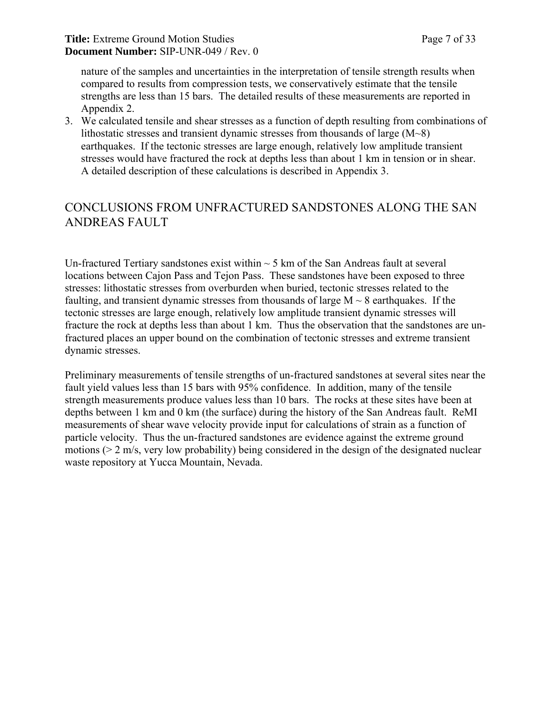nature of the samples and uncertainties in the interpretation of tensile strength results when compared to results from compression tests, we conservatively estimate that the tensile strengths are less than 15 bars. The detailed results of these measurements are reported in Appendix 2.

3. We calculated tensile and shear stresses as a function of depth resulting from combinations of lithostatic stresses and transient dynamic stresses from thousands of large (M~8) earthquakes. If the tectonic stresses are large enough, relatively low amplitude transient stresses would have fractured the rock at depths less than about 1 km in tension or in shear. A detailed description of these calculations is described in Appendix 3.

# CONCLUSIONS FROM UNFRACTURED SANDSTONES ALONG THE SAN ANDREAS FAULT

Un-fractured Tertiary sandstones exist within  $\sim$  5 km of the San Andreas fault at several locations between Cajon Pass and Tejon Pass. These sandstones have been exposed to three stresses: lithostatic stresses from overburden when buried, tectonic stresses related to the faulting, and transient dynamic stresses from thousands of large  $M \sim 8$  earthquakes. If the tectonic stresses are large enough, relatively low amplitude transient dynamic stresses will fracture the rock at depths less than about 1 km. Thus the observation that the sandstones are unfractured places an upper bound on the combination of tectonic stresses and extreme transient dynamic stresses.

Preliminary measurements of tensile strengths of un-fractured sandstones at several sites near the fault yield values less than 15 bars with 95% confidence. In addition, many of the tensile strength measurements produce values less than 10 bars. The rocks at these sites have been at depths between 1 km and 0 km (the surface) during the history of the San Andreas fault. ReMI measurements of shear wave velocity provide input for calculations of strain as a function of particle velocity. Thus the un-fractured sandstones are evidence against the extreme ground motions (> 2 m/s, very low probability) being considered in the design of the designated nuclear waste repository at Yucca Mountain, Nevada.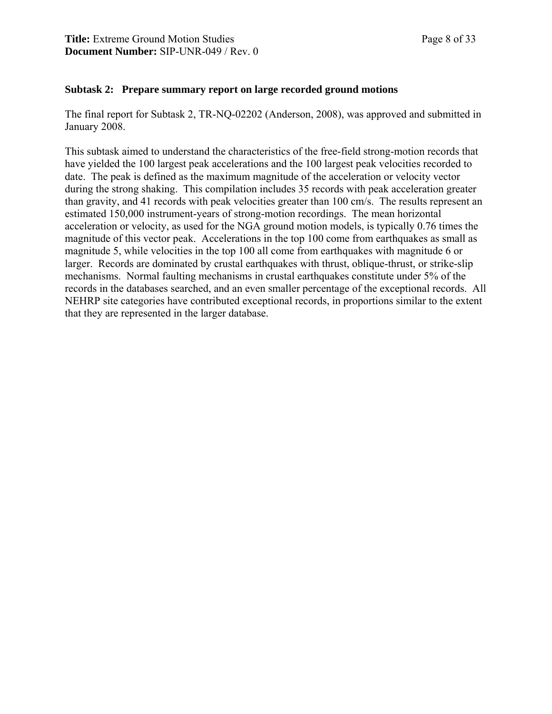#### **Subtask 2: Prepare summary report on large recorded ground motions**

The final report for Subtask 2, TR-NQ-02202 (Anderson, 2008), was approved and submitted in January 2008.

This subtask aimed to understand the characteristics of the free-field strong-motion records that have yielded the 100 largest peak accelerations and the 100 largest peak velocities recorded to date. The peak is defined as the maximum magnitude of the acceleration or velocity vector during the strong shaking. This compilation includes 35 records with peak acceleration greater than gravity, and 41 records with peak velocities greater than 100 cm/s. The results represent an estimated 150,000 instrument-years of strong-motion recordings. The mean horizontal acceleration or velocity, as used for the NGA ground motion models, is typically 0.76 times the magnitude of this vector peak. Accelerations in the top 100 come from earthquakes as small as magnitude 5, while velocities in the top 100 all come from earthquakes with magnitude 6 or larger. Records are dominated by crustal earthquakes with thrust, oblique-thrust, or strike-slip mechanisms. Normal faulting mechanisms in crustal earthquakes constitute under 5% of the records in the databases searched, and an even smaller percentage of the exceptional records. All NEHRP site categories have contributed exceptional records, in proportions similar to the extent that they are represented in the larger database.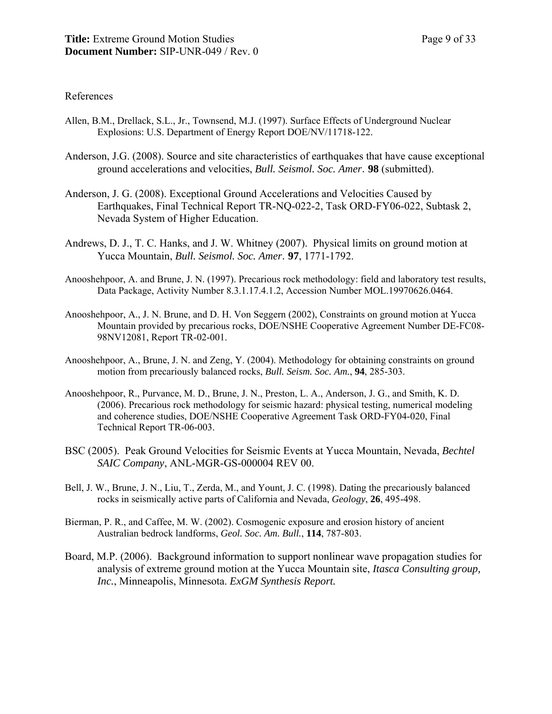#### References

- Allen, B.M., Drellack, S.L., Jr., Townsend, M.J. (1997). Surface Effects of Underground Nuclear Explosions: U.S. Department of Energy Report DOE/NV/11718-122.
- Anderson, J.G. (2008). Source and site characteristics of earthquakes that have cause exceptional ground accelerations and velocities, *Bull. Seismol. Soc. Amer*. **98** (submitted).
- Anderson, J. G. (2008). Exceptional Ground Accelerations and Velocities Caused by Earthquakes, Final Technical Report TR-NQ-022-2, Task ORD-FY06-022, Subtask 2, Nevada System of Higher Education.
- Andrews, D. J., T. C. Hanks, and J. W. Whitney (2007). Physical limits on ground motion at Yucca Mountain, *Bull. Seismol. Soc. Amer*. **97**, 1771-1792.
- Anooshehpoor, A. and Brune, J. N. (1997). Precarious rock methodology: field and laboratory test results, Data Package, Activity Number 8.3.1.17.4.1.2, Accession Number MOL.19970626.0464.
- Anooshehpoor, A., J. N. Brune, and D. H. Von Seggern (2002), Constraints on ground motion at Yucca Mountain provided by precarious rocks, DOE/NSHE Cooperative Agreement Number DE-FC08- 98NV12081, Report TR-02-001.
- Anooshehpoor, A., Brune, J. N. and Zeng, Y. (2004). Methodology for obtaining constraints on ground motion from precariously balanced rocks, *Bull. Seism. Soc. Am.*, **94**, 285-303.
- Anooshehpoor, R., Purvance, M. D., Brune, J. N., Preston, L. A., Anderson, J. G., and Smith, K. D. (2006). Precarious rock methodology for seismic hazard: physical testing, numerical modeling and coherence studies, DOE/NSHE Cooperative Agreement Task ORD-FY04-020, Final Technical Report TR-06-003.
- BSC (2005). Peak Ground Velocities for Seismic Events at Yucca Mountain, Nevada, *Bechtel SAIC Company*, ANL-MGR-GS-000004 REV 00.
- Bell, J. W., Brune, J. N., Liu, T., Zerda, M., and Yount, J. C. (1998). Dating the precariously balanced rocks in seismically active parts of California and Nevada, *Geology*, **26**, 495-498.
- Bierman, P. R., and Caffee, M. W. (2002). Cosmogenic exposure and erosion history of ancient Australian bedrock landforms, *Geol. Soc. Am. Bull.*, **114**, 787-803.
- Board, M.P. (2006). Background information to support nonlinear wave propagation studies for analysis of extreme ground motion at the Yucca Mountain site, *Itasca Consulting group, Inc.*, Minneapolis, Minnesota. *ExGM Synthesis Report.*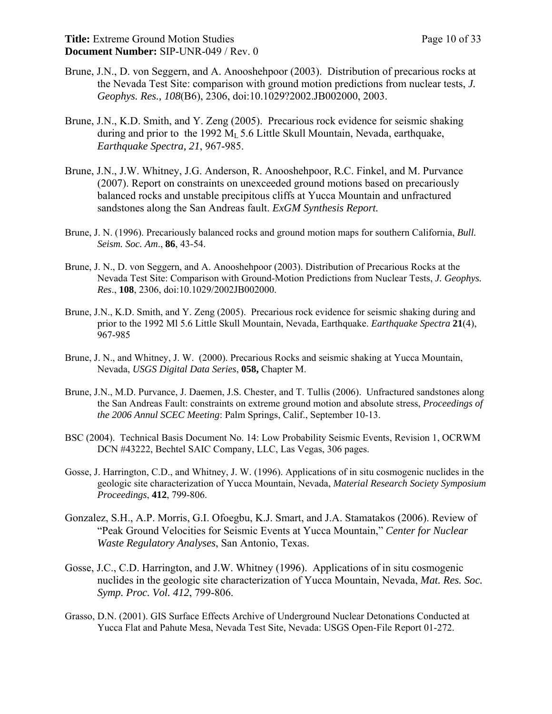- Brune, J.N., D. von Seggern, and A. Anooshehpoor (2003). Distribution of precarious rocks at the Nevada Test Site: comparison with ground motion predictions from nuclear tests, *J. Geophys. Res., 108*(B6), 2306, doi:10.1029?2002.JB002000, 2003.
- Brune, J.N., K.D. Smith, and Y. Zeng (2005). Precarious rock evidence for seismic shaking during and prior to the 1992  $M<sub>L</sub>$  5.6 Little Skull Mountain, Nevada, earthquake, *Earthquake Spectra, 21*, 967-985.
- Brune, J.N., J.W. Whitney, J.G. Anderson, R. Anooshehpoor, R.C. Finkel, and M. Purvance (2007). Report on constraints on unexceeded ground motions based on precariously balanced rocks and unstable precipitous cliffs at Yucca Mountain and unfractured sandstones along the San Andreas fault. *ExGM Synthesis Report.*
- Brune, J. N. (1996). Precariously balanced rocks and ground motion maps for southern California, *Bull. Seism. Soc. Am*., **86**, 43-54.
- Brune, J. N., D. von Seggern, and A. Anooshehpoor (2003). Distribution of Precarious Rocks at the Nevada Test Site: Comparison with Ground-Motion Predictions from Nuclear Tests, *J. Geophys. Res*., **108**, 2306, doi:10.1029/2002JB002000.
- Brune, J.N., K.D. Smith, and Y. Zeng (2005). Precarious rock evidence for seismic shaking during and prior to the 1992 Ml 5.6 Little Skull Mountain, Nevada, Earthquake. *Earthquake Spectra* **21**(4), 967-985
- Brune, J. N., and Whitney, J. W. (2000). Precarious Rocks and seismic shaking at Yucca Mountain, Nevada, *USGS Digital Data Series*, **058,** Chapter M.
- Brune, J.N., M.D. Purvance, J. Daemen, J.S. Chester, and T. Tullis (2006). Unfractured sandstones along the San Andreas Fault: constraints on extreme ground motion and absolute stress, *Proceedings of the 2006 Annul SCEC Meeting*: Palm Springs, Calif., September 10-13.
- BSC (2004). Technical Basis Document No. 14: Low Probability Seismic Events, Revision 1, OCRWM DCN #43222, Bechtel SAIC Company, LLC, Las Vegas, 306 pages.
- Gosse, J. Harrington, C.D., and Whitney, J. W. (1996). Applications of in situ cosmogenic nuclides in the geologic site characterization of Yucca Mountain, Nevada, *Material Research Society Symposium Proceedings*, **412**, 799-806.
- Gonzalez, S.H., A.P. Morris, G.I. Ofoegbu, K.J. Smart, and J.A. Stamatakos (2006). Review of "Peak Ground Velocities for Seismic Events at Yucca Mountain," *Center for Nuclear Waste Regulatory Analyses*, San Antonio, Texas.
- Gosse, J.C., C.D. Harrington, and J.W. Whitney (1996). Applications of in situ cosmogenic nuclides in the geologic site characterization of Yucca Mountain, Nevada, *Mat. Res. Soc. Symp. Proc. Vol. 412*, 799-806.
- Grasso, D.N. (2001). GIS Surface Effects Archive of Underground Nuclear Detonations Conducted at Yucca Flat and Pahute Mesa, Nevada Test Site, Nevada: USGS Open-File Report 01-272.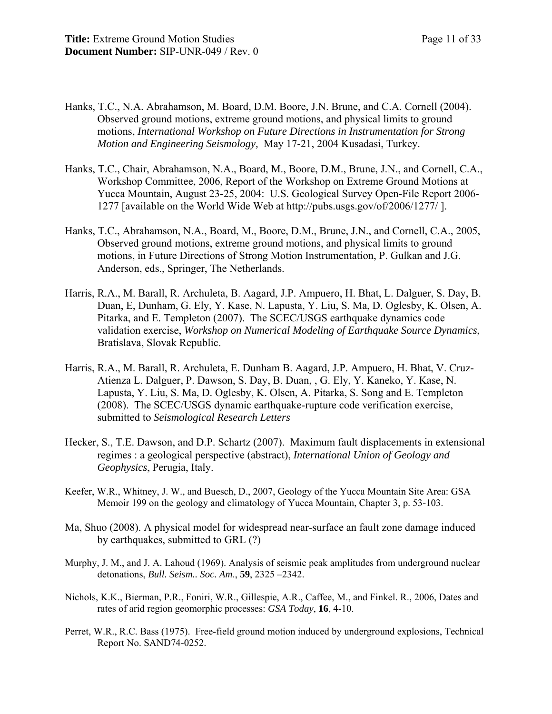- Hanks, T.C., N.A. Abrahamson, M. Board, D.M. Boore, J.N. Brune, and C.A. Cornell (2004). Observed ground motions, extreme ground motions, and physical limits to ground motions, *International Workshop on Future Directions in Instrumentation for Strong Motion and Engineering Seismology,* May 17-21, 2004 Kusadasi, Turkey.
- Hanks, T.C., Chair, Abrahamson, N.A., Board, M., Boore, D.M., Brune, J.N., and Cornell, C.A., Workshop Committee, 2006, Report of the Workshop on Extreme Ground Motions at Yucca Mountain, August 23-25, 2004: U.S. Geological Survey Open-File Report 2006- 1277 [available on the World Wide Web at http://pubs.usgs.gov/of/2006/1277/ ].
- Hanks, T.C., Abrahamson, N.A., Board, M., Boore, D.M., Brune, J.N., and Cornell, C.A., 2005, Observed ground motions, extreme ground motions, and physical limits to ground motions, in Future Directions of Strong Motion Instrumentation, P. Gulkan and J.G. Anderson, eds., Springer, The Netherlands.
- Harris, R.A., M. Barall, R. Archuleta, B. Aagard, J.P. Ampuero, H. Bhat, L. Dalguer, S. Day, B. Duan, E, Dunham, G. Ely, Y. Kase, N. Lapusta, Y. Liu, S. Ma, D. Oglesby, K. Olsen, A. Pitarka, and E. Templeton (2007). The SCEC/USGS earthquake dynamics code validation exercise, *Workshop on Numerical Modeling of Earthquake Source Dynamics*, Bratislava, Slovak Republic.
- Harris, R.A., M. Barall, R. Archuleta, E. Dunham B. Aagard, J.P. Ampuero, H. Bhat, V. Cruz-Atienza L. Dalguer, P. Dawson, S. Day, B. Duan, , G. Ely, Y. Kaneko, Y. Kase, N. Lapusta, Y. Liu, S. Ma, D. Oglesby, K. Olsen, A. Pitarka, S. Song and E. Templeton (2008). The SCEC/USGS dynamic earthquake-rupture code verification exercise, submitted to *Seismological Research Letters*
- Hecker, S., T.E. Dawson, and D.P. Schartz (2007). Maximum fault displacements in extensional regimes : a geological perspective (abstract), *International Union of Geology and Geophysics*, Perugia, Italy.
- Keefer, W.R., Whitney, J. W., and Buesch, D., 2007, Geology of the Yucca Mountain Site Area: GSA Memoir 199 on the geology and climatology of Yucca Mountain, Chapter 3, p. 53-103.
- Ma, Shuo (2008). A physical model for widespread near-surface an fault zone damage induced by earthquakes, submitted to GRL (?)
- Murphy, J. M., and J. A. Lahoud (1969). Analysis of seismic peak amplitudes from underground nuclear detonations, *Bull. Seism.. Soc. Am*., **59**, 2325 –2342.
- Nichols, K.K., Bierman, P.R., Foniri, W.R., Gillespie, A.R., Caffee, M., and Finkel. R., 2006, Dates and rates of arid region geomorphic processes: *GSA Today*, **16**, 4-10.
- Perret, W.R., R.C. Bass (1975). Free-field ground motion induced by underground explosions, Technical Report No. SAND74-0252.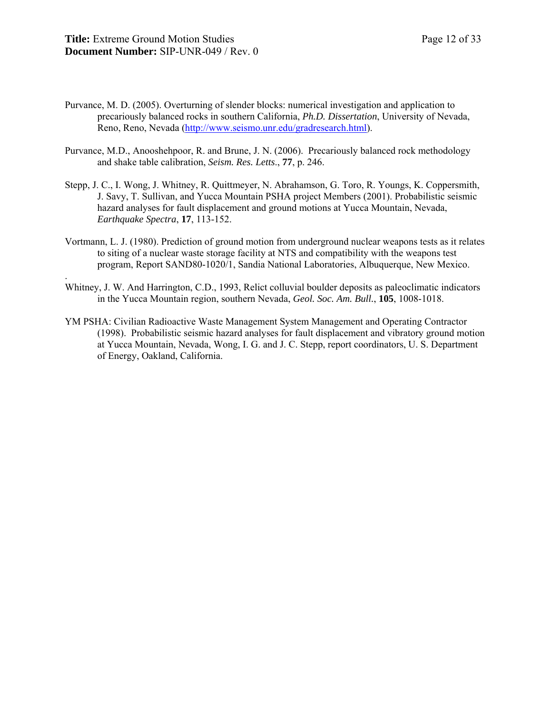.

- Purvance, M. D. (2005). Overturning of slender blocks: numerical investigation and application to precariously balanced rocks in southern California, *Ph.D. Dissertation*, University of Nevada, Reno, Reno, Nevada (http://www.seismo.unr.edu/gradresearch.html).
- Purvance, M.D., Anooshehpoor, R. and Brune, J. N. (2006). Precariously balanced rock methodology and shake table calibration, *Seism. Res. Letts*., **77**, p. 246.
- Stepp, J. C., I. Wong, J. Whitney, R. Quittmeyer, N. Abrahamson, G. Toro, R. Youngs, K. Coppersmith, J. Savy, T. Sullivan, and Yucca Mountain PSHA project Members (2001). Probabilistic seismic hazard analyses for fault displacement and ground motions at Yucca Mountain, Nevada, *Earthquake Spectra*, **17**, 113-152.
- Vortmann, L. J. (1980). Prediction of ground motion from underground nuclear weapons tests as it relates to siting of a nuclear waste storage facility at NTS and compatibility with the weapons test program, Report SAND80-1020/1, Sandia National Laboratories, Albuquerque, New Mexico.
- Whitney, J. W. And Harrington, C.D., 1993, Relict colluvial boulder deposits as paleoclimatic indicators in the Yucca Mountain region, southern Nevada, *Geol. Soc. Am. Bull.*, **105**, 1008-1018.
- YM PSHA: Civilian Radioactive Waste Management System Management and Operating Contractor (1998). Probabilistic seismic hazard analyses for fault displacement and vibratory ground motion at Yucca Mountain, Nevada, Wong, I. G. and J. C. Stepp, report coordinators, U. S. Department of Energy, Oakland, California.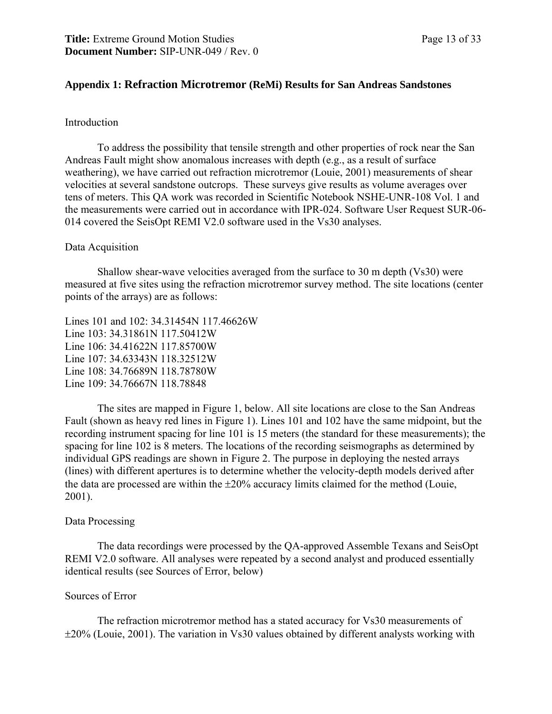#### **Appendix 1: Refraction Microtremor (ReMi) Results for San Andreas Sandstones**

#### Introduction

To address the possibility that tensile strength and other properties of rock near the San Andreas Fault might show anomalous increases with depth (e.g., as a result of surface weathering), we have carried out refraction microtremor (Louie, 2001) measurements of shear velocities at several sandstone outcrops. These surveys give results as volume averages over tens of meters. This QA work was recorded in Scientific Notebook NSHE-UNR-108 Vol. 1 and the measurements were carried out in accordance with IPR-024. Software User Request SUR-06- 014 covered the SeisOpt REMI V2.0 software used in the Vs30 analyses.

#### Data Acquisition

Shallow shear-wave velocities averaged from the surface to 30 m depth (Vs30) were measured at five sites using the refraction microtremor survey method. The site locations (center points of the arrays) are as follows:

Lines 101 and 102: 34.31454N 117.46626W Line 103: 34.31861N 117.50412W Line 106: 34.41622N 117.85700W Line 107: 34.63343N 118.32512W Line 108: 34.76689N 118.78780W Line 109: 34.76667N 118.78848

The sites are mapped in Figure 1, below. All site locations are close to the San Andreas Fault (shown as heavy red lines in Figure 1). Lines 101 and 102 have the same midpoint, but the recording instrument spacing for line 101 is 15 meters (the standard for these measurements); the spacing for line 102 is 8 meters. The locations of the recording seismographs as determined by individual GPS readings are shown in Figure 2. The purpose in deploying the nested arrays (lines) with different apertures is to determine whether the velocity-depth models derived after the data are processed are within the  $\pm 20\%$  accuracy limits claimed for the method (Louie, 2001).

#### Data Processing

The data recordings were processed by the QA-approved Assemble Texans and SeisOpt REMI V2.0 software. All analyses were repeated by a second analyst and produced essentially identical results (see Sources of Error, below)

#### Sources of Error

 The refraction microtremor method has a stated accuracy for Vs30 measurements of ±20% (Louie, 2001). The variation in Vs30 values obtained by different analysts working with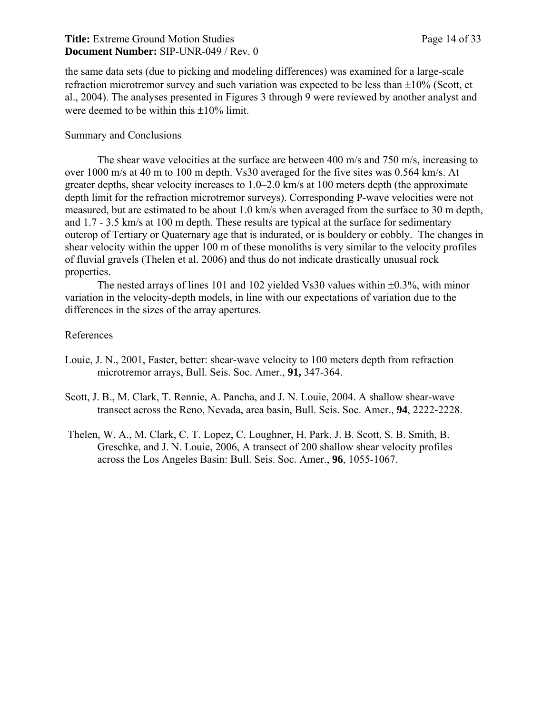#### **Title:** Extreme Ground Motion Studies Page 14 of 33 **Document Number:** SIP-UNR-049 / Rev. 0

the same data sets (due to picking and modeling differences) was examined for a large-scale refraction microtremor survey and such variation was expected to be less than ±10% (Scott, et al., 2004). The analyses presented in Figures 3 through 9 were reviewed by another analyst and were deemed to be within this  $\pm 10\%$  limit.

#### Summary and Conclusions

The shear wave velocities at the surface are between 400 m/s and 750 m/s, increasing to over 1000 m/s at 40 m to 100 m depth. Vs30 averaged for the five sites was 0.564 km/s. At greater depths, shear velocity increases to 1.0–2.0 km/s at 100 meters depth (the approximate depth limit for the refraction microtremor surveys). Corresponding P-wave velocities were not measured, but are estimated to be about 1.0 km/s when averaged from the surface to 30 m depth, and 1.7 - 3.5 km/s at 100 m depth. These results are typical at the surface for sedimentary outcrop of Tertiary or Quaternary age that is indurated, or is bouldery or cobbly. The changes in shear velocity within the upper 100 m of these monoliths is very similar to the velocity profiles of fluvial gravels (Thelen et al. 2006) and thus do not indicate drastically unusual rock properties.

The nested arrays of lines 101 and 102 yielded Vs30 values within  $\pm 0.3\%$ , with minor variation in the velocity-depth models, in line with our expectations of variation due to the differences in the sizes of the array apertures.

#### References

- Louie, J. N., 2001, Faster, better: shear-wave velocity to 100 meters depth from refraction microtremor arrays, Bull. Seis. Soc. Amer., **91,** 347-364.
- Scott, J. B., M. Clark, T. Rennie, A. Pancha, and J. N. Louie, 2004. A shallow shear-wave transect across the Reno, Nevada, area basin, Bull. Seis. Soc. Amer., **94**, 2222-2228.
- Thelen, W. A., M. Clark, C. T. Lopez, C. Loughner, H. Park, J. B. Scott, S. B. Smith, B. Greschke, and J. N. Louie, 2006, A transect of 200 shallow shear velocity profiles across the Los Angeles Basin: Bull. Seis. Soc. Amer., **96**, 1055-1067.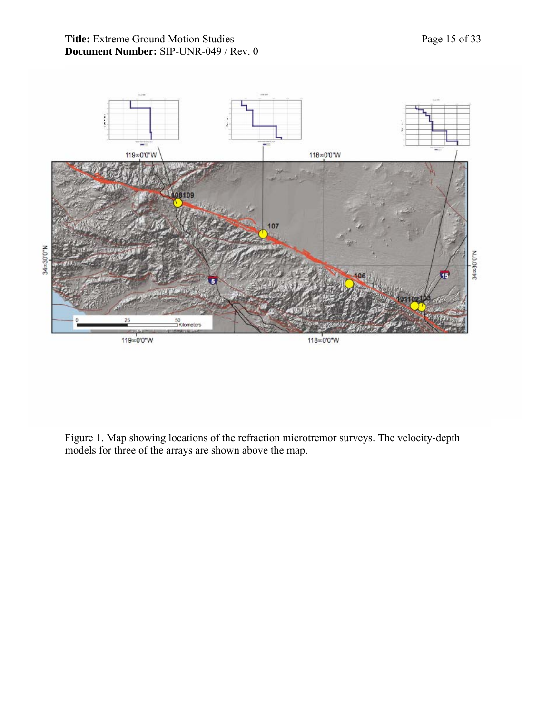

Figure 1. Map showing locations of the refraction microtremor surveys. The velocity-depth models for three of the arrays are shown above the map.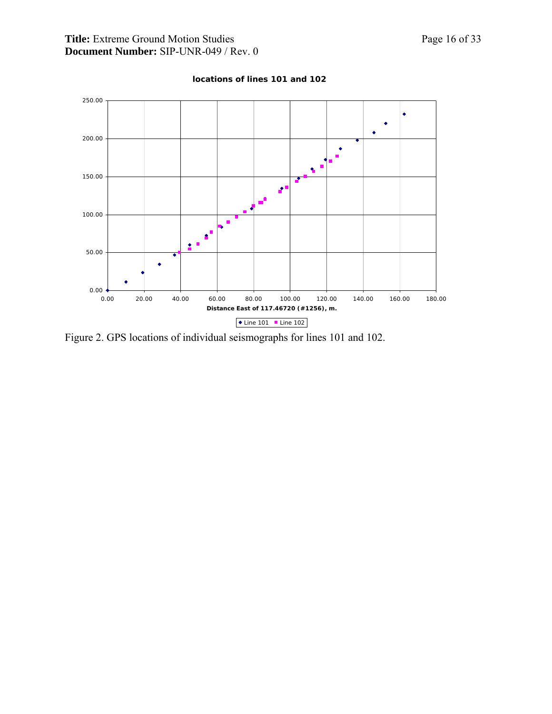

#### **locations of lines 101 and 102**

Figure 2. GPS locations of individual seismographs for lines 101 and 102.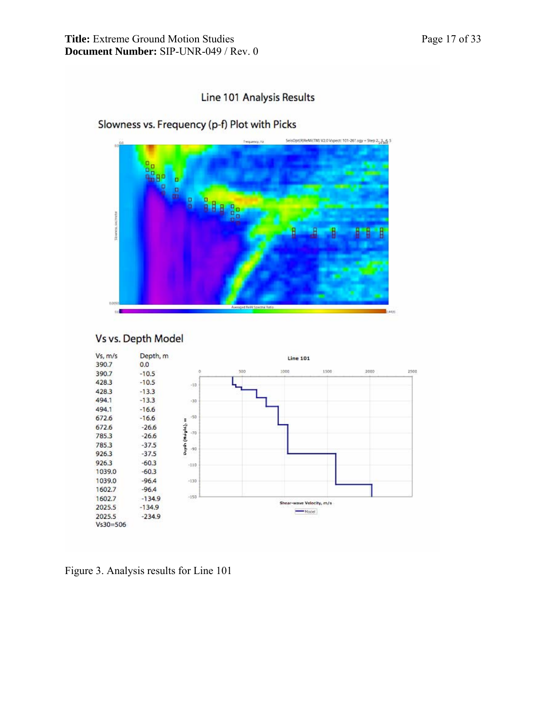## Line 101 Analysis Results

# Slowness vs. Frequency (p-f) Plot with Picks



## Vs vs. Depth Model



Figure 3. Analysis results for Line 101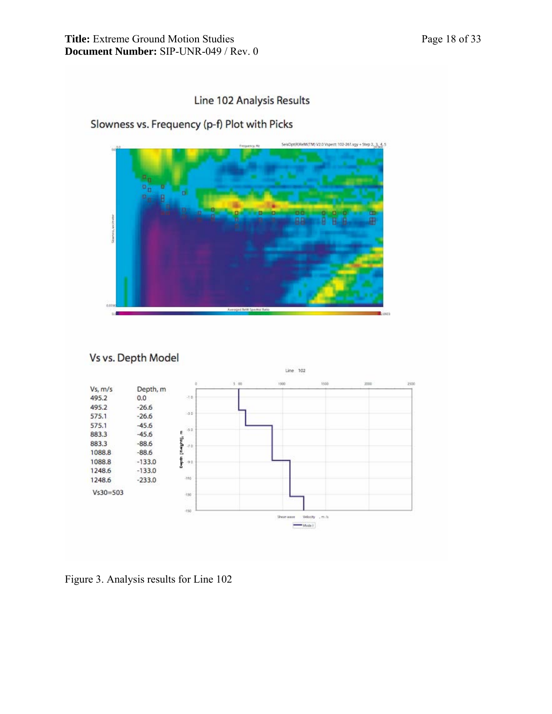## Line 102 Analysis Results

## Slowness vs. Frequency (p-f) Plot with Picks



Vs vs. Depth Model



Figure 3. Analysis results for Line 102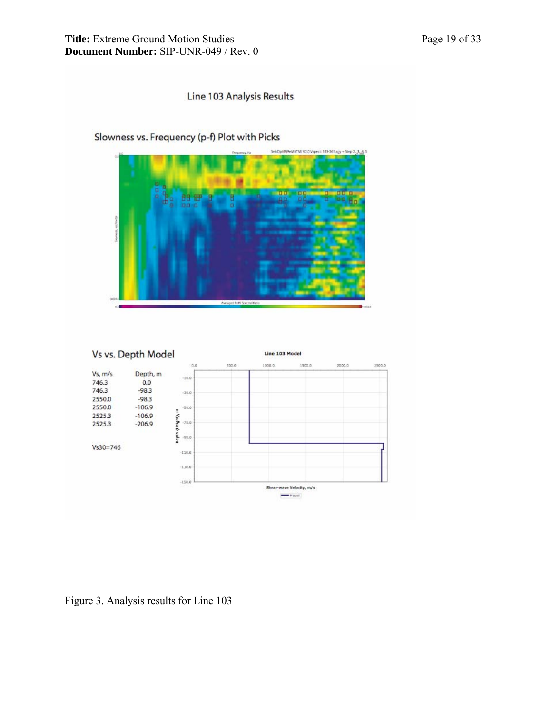## Line 103 Analysis Results







Figure 3. Analysis results for Line 103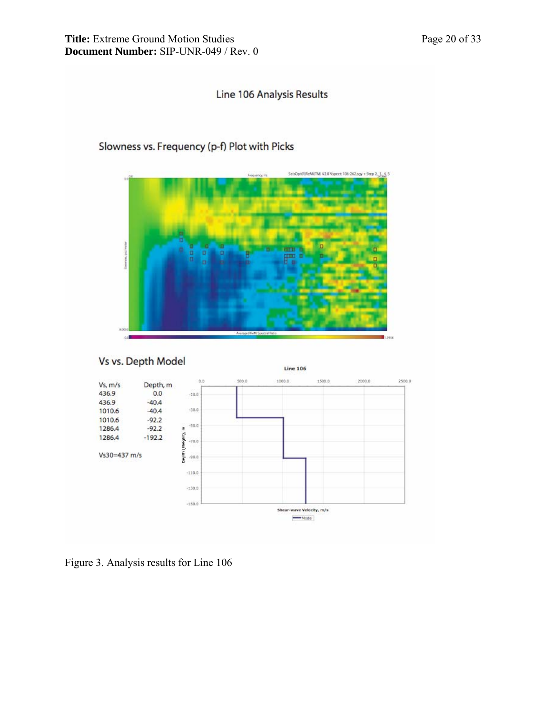## Line 106 Analysis Results

## Slowness vs. Frequency (p-f) Plot with Picks





Figure 3. Analysis results for Line 106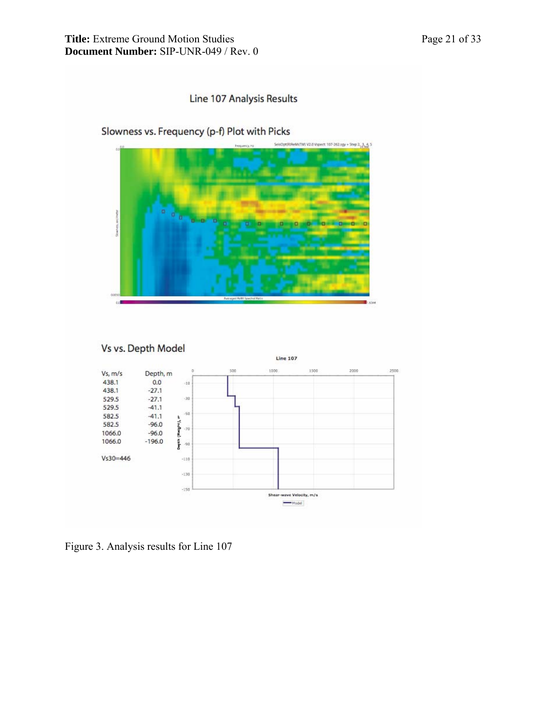## Line 107 Analysis Results



Figure 3. Analysis results for Line 107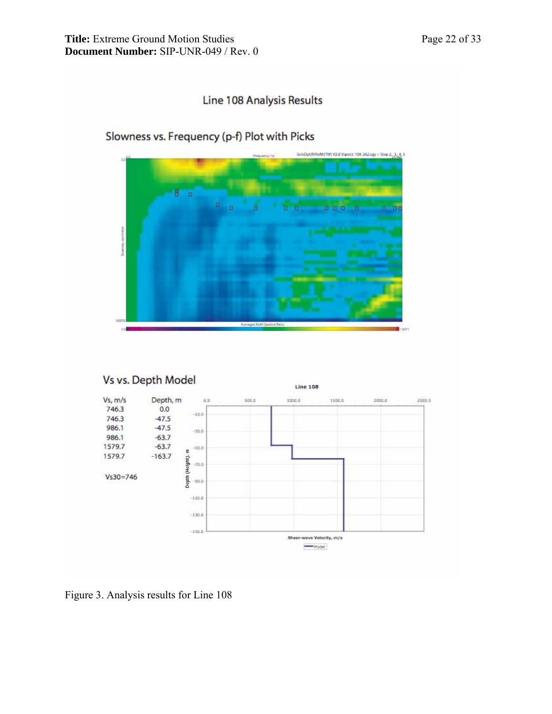





Figure 3. Analysis results for Line 108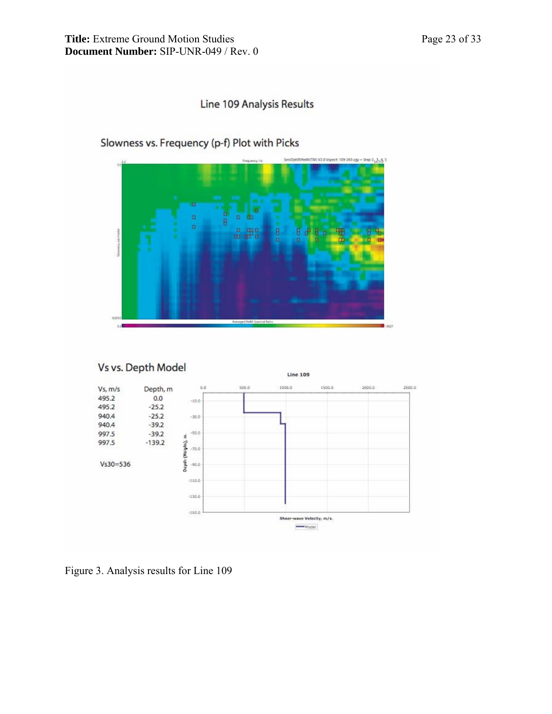## Line 109 Analysis Results

## Slowness vs. Frequency (p-f) Plot with Picks





Figure 3. Analysis results for Line 109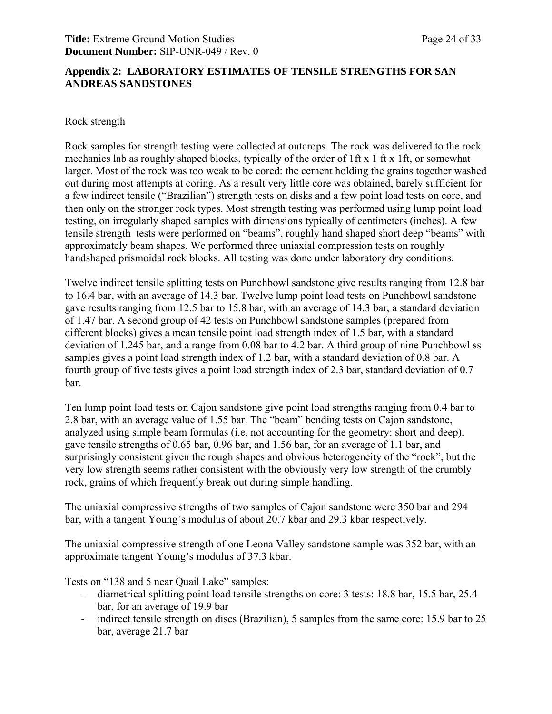#### **Appendix 2: LABORATORY ESTIMATES OF TENSILE STRENGTHS FOR SAN ANDREAS SANDSTONES**

#### Rock strength

Rock samples for strength testing were collected at outcrops. The rock was delivered to the rock mechanics lab as roughly shaped blocks, typically of the order of 1ft x 1 ft x 1ft, or somewhat larger. Most of the rock was too weak to be cored: the cement holding the grains together washed out during most attempts at coring. As a result very little core was obtained, barely sufficient for a few indirect tensile ("Brazilian") strength tests on disks and a few point load tests on core, and then only on the stronger rock types. Most strength testing was performed using lump point load testing, on irregularly shaped samples with dimensions typically of centimeters (inches). A few tensile strength tests were performed on "beams", roughly hand shaped short deep "beams" with approximately beam shapes. We performed three uniaxial compression tests on roughly handshaped prismoidal rock blocks. All testing was done under laboratory dry conditions.

Twelve indirect tensile splitting tests on Punchbowl sandstone give results ranging from 12.8 bar to 16.4 bar, with an average of 14.3 bar. Twelve lump point load tests on Punchbowl sandstone gave results ranging from 12.5 bar to 15.8 bar, with an average of 14.3 bar, a standard deviation of 1.47 bar. A second group of 42 tests on Punchbowl sandstone samples (prepared from different blocks) gives a mean tensile point load strength index of 1.5 bar, with a standard deviation of 1.245 bar, and a range from 0.08 bar to 4.2 bar. A third group of nine Punchbowl ss samples gives a point load strength index of 1.2 bar, with a standard deviation of 0.8 bar. A fourth group of five tests gives a point load strength index of 2.3 bar, standard deviation of 0.7 bar.

Ten lump point load tests on Cajon sandstone give point load strengths ranging from 0.4 bar to 2.8 bar, with an average value of 1.55 bar. The "beam" bending tests on Cajon sandstone, analyzed using simple beam formulas (i.e. not accounting for the geometry: short and deep), gave tensile strengths of 0.65 bar, 0.96 bar, and 1.56 bar, for an average of 1.1 bar, and surprisingly consistent given the rough shapes and obvious heterogeneity of the "rock", but the very low strength seems rather consistent with the obviously very low strength of the crumbly rock, grains of which frequently break out during simple handling.

The uniaxial compressive strengths of two samples of Cajon sandstone were 350 bar and 294 bar, with a tangent Young's modulus of about 20.7 kbar and 29.3 kbar respectively.

The uniaxial compressive strength of one Leona Valley sandstone sample was 352 bar, with an approximate tangent Young's modulus of 37.3 kbar.

Tests on "138 and 5 near Quail Lake" samples:

- diametrical splitting point load tensile strengths on core: 3 tests: 18.8 bar, 15.5 bar, 25.4 bar, for an average of 19.9 bar
- indirect tensile strength on discs (Brazilian), 5 samples from the same core: 15.9 bar to 25 bar, average 21.7 bar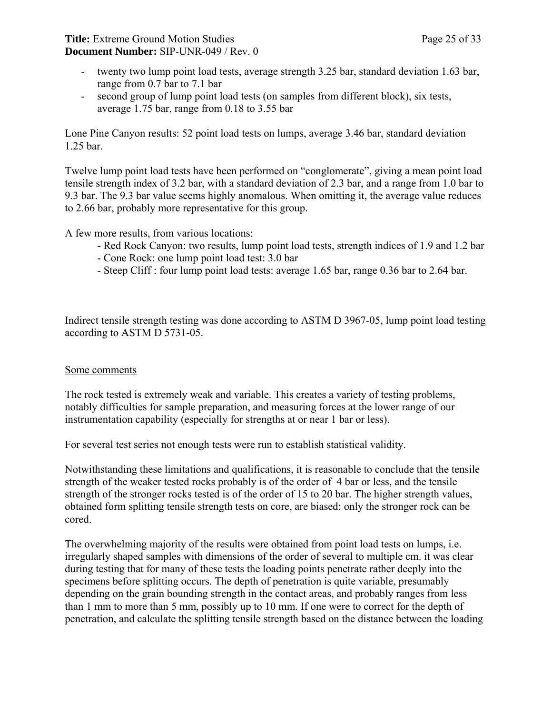**Title:** Extreme Ground Motion Studies Page 25 of 33 **Document Number:** SIP-UNR-049 / Rev. 0

- twenty two lump point load tests, average strength 3.25 bar, standard deviation 1.63 bar, range from 0.7 bar to 7.1 bar
- second group of lump point load tests (on samples from different block), six tests, average 1.75 bar, range from 0.18 to 3.55 bar

Lone Pine Canyon results: 52 point load tests on lumps, average 3.46 bar, standard deviation 1.25 bar.

Twelve lump point load tests have been performed on "conglomerate", giving a mean point load tensile strength index of 3.2 bar, with a standard deviation of 2.3 bar, and a range from 1.0 bar to 9.3 bar. The 9.3 bar value seems highly anomalous. When omitting it, the average value reduces to 2.66 bar, probably more representative for this group.

A few more results, from various locations:

- Red Rock Canyon: two results, lump point load tests, strength indices of 1.9 and 1.2 bar
- Cone Rock: one lump point load test: 3.0 bar
- Steep Cliff : four lump point load tests: average 1.65 bar, range 0.36 bar to 2.64 bar.

Indirect tensile strength testing was done according to ASTM D 3967-05, lump point load testing according to ASTM D 5731-05.

#### Some comments

The rock tested is extremely weak and variable. This creates a variety of testing problems, notably difficulties for sample preparation, and measuring forces at the lower range of our instrumentation capability (especially for strengths at or near 1 bar or less).

For several test series not enough tests were run to establish statistical validity.

Notwithstanding these limitations and qualifications, it is reasonable to conclude that the tensile strength of the weaker tested rocks probably is of the order of 4 bar or less, and the tensile strength of the stronger rocks tested is of the order of 15 to 20 bar. The higher strength values, obtained form splitting tensile strength tests on core, are biased: only the stronger rock can be cored.

The overwhelming majority of the results were obtained from point load tests on lumps, i.e. irregularly shaped samples with dimensions of the order of several to multiple cm. it was clear during testing that for many of these tests the loading points penetrate rather deeply into the specimens before splitting occurs. The depth of penetration is quite variable, presumably depending on the grain bounding strength in the contact areas, and probably ranges from less than 1 mm to more than 5 mm, possibly up to 10 mm. If one were to correct for the depth of penetration, and calculate the splitting tensile strength based on the distance between the loading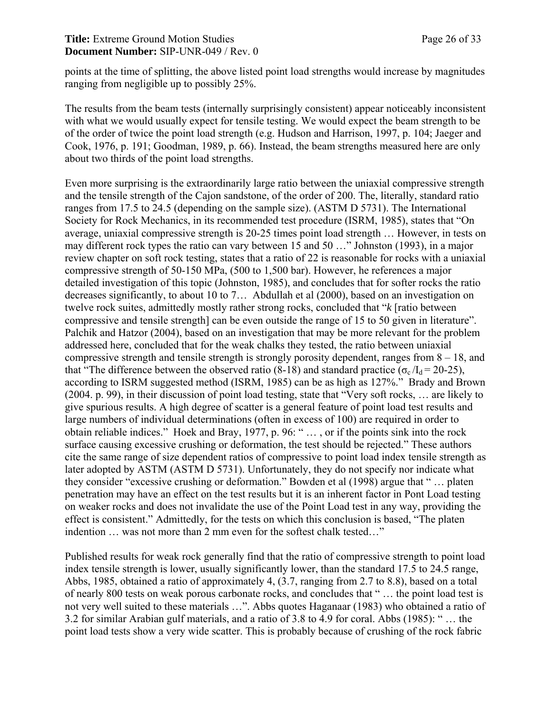#### **Title:** Extreme Ground Motion Studies Page 26 of 33 **Document Number:** SIP-UNR-049 / Rev. 0

points at the time of splitting, the above listed point load strengths would increase by magnitudes ranging from negligible up to possibly 25%.

The results from the beam tests (internally surprisingly consistent) appear noticeably inconsistent with what we would usually expect for tensile testing. We would expect the beam strength to be of the order of twice the point load strength (e.g. Hudson and Harrison, 1997, p. 104; Jaeger and Cook, 1976, p. 191; Goodman, 1989, p. 66). Instead, the beam strengths measured here are only about two thirds of the point load strengths.

Even more surprising is the extraordinarily large ratio between the uniaxial compressive strength and the tensile strength of the Cajon sandstone, of the order of 200. The, literally, standard ratio ranges from 17.5 to 24.5 (depending on the sample size). (ASTM D 5731). The International Society for Rock Mechanics, in its recommended test procedure (ISRM, 1985), states that "On average, uniaxial compressive strength is 20-25 times point load strength … However, in tests on may different rock types the ratio can vary between 15 and 50 …" Johnston (1993), in a major review chapter on soft rock testing, states that a ratio of 22 is reasonable for rocks with a uniaxial compressive strength of 50-150 MPa, (500 to 1,500 bar). However, he references a major detailed investigation of this topic (Johnston, 1985), and concludes that for softer rocks the ratio decreases significantly, to about 10 to 7… Abdullah et al (2000), based on an investigation on twelve rock suites, admittedly mostly rather strong rocks, concluded that "*k* [ratio between compressive and tensile strength] can be even outside the range of 15 to 50 given in literature". Palchik and Hatzor (2004), based on an investigation that may be more relevant for the problem addressed here, concluded that for the weak chalks they tested, the ratio between uniaxial compressive strength and tensile strength is strongly porosity dependent, ranges from 8 – 18, and that "The difference between the observed ratio (8-18) and standard practice ( $\sigma_{\rm c}/I_{\rm d} = 20{\text -}25$ ), according to ISRM suggested method (ISRM, 1985) can be as high as 127%." Brady and Brown (2004. p. 99), in their discussion of point load testing, state that "Very soft rocks, … are likely to give spurious results. A high degree of scatter is a general feature of point load test results and large numbers of individual determinations (often in excess of 100) are required in order to obtain reliable indices." Hoek and Bray, 1977, p. 96: " … , or if the points sink into the rock surface causing excessive crushing or deformation, the test should be rejected." These authors cite the same range of size dependent ratios of compressive to point load index tensile strength as later adopted by ASTM (ASTM D 5731). Unfortunately, they do not specify nor indicate what they consider "excessive crushing or deformation." Bowden et al (1998) argue that " … platen penetration may have an effect on the test results but it is an inherent factor in Pont Load testing on weaker rocks and does not invalidate the use of the Point Load test in any way, providing the effect is consistent." Admittedly, for the tests on which this conclusion is based, "The platen indention … was not more than 2 mm even for the softest chalk tested…"

Published results for weak rock generally find that the ratio of compressive strength to point load index tensile strength is lower, usually significantly lower, than the standard 17.5 to 24.5 range, Abbs, 1985, obtained a ratio of approximately 4, (3.7, ranging from 2.7 to 8.8), based on a total of nearly 800 tests on weak porous carbonate rocks, and concludes that " … the point load test is not very well suited to these materials …". Abbs quotes Haganaar (1983) who obtained a ratio of 3.2 for similar Arabian gulf materials, and a ratio of 3.8 to 4.9 for coral. Abbs (1985): " … the point load tests show a very wide scatter. This is probably because of crushing of the rock fabric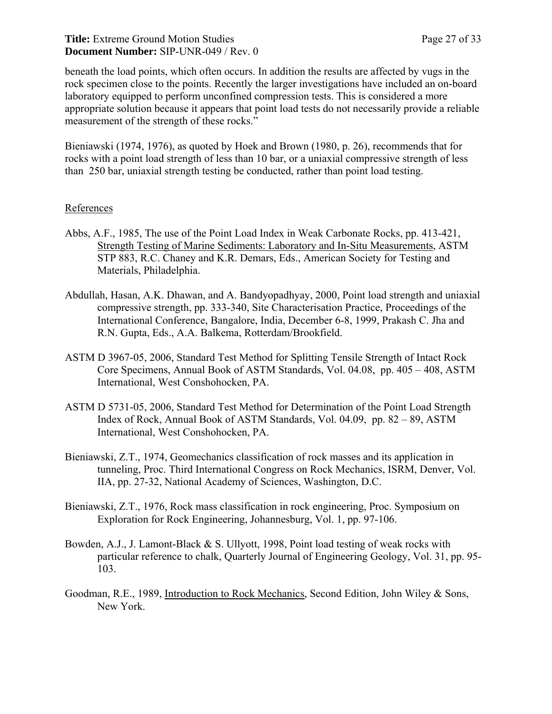beneath the load points, which often occurs. In addition the results are affected by vugs in the rock specimen close to the points. Recently the larger investigations have included an on-board laboratory equipped to perform unconfined compression tests. This is considered a more appropriate solution because it appears that point load tests do not necessarily provide a reliable measurement of the strength of these rocks."

Bieniawski (1974, 1976), as quoted by Hoek and Brown (1980, p. 26), recommends that for rocks with a point load strength of less than 10 bar, or a uniaxial compressive strength of less than 250 bar, uniaxial strength testing be conducted, rather than point load testing.

#### References

- Abbs, A.F., 1985, The use of the Point Load Index in Weak Carbonate Rocks, pp. 413-421, Strength Testing of Marine Sediments: Laboratory and In-Situ Measurements, ASTM STP 883, R.C. Chaney and K.R. Demars, Eds., American Society for Testing and Materials, Philadelphia.
- Abdullah, Hasan, A.K. Dhawan, and A. Bandyopadhyay, 2000, Point load strength and uniaxial compressive strength, pp. 333-340, Site Characterisation Practice, Proceedings of the International Conference, Bangalore, India, December 6-8, 1999, Prakash C. Jha and R.N. Gupta, Eds., A.A. Balkema, Rotterdam/Brookfield.
- ASTM D 3967-05, 2006, Standard Test Method for Splitting Tensile Strength of Intact Rock Core Specimens, Annual Book of ASTM Standards, Vol. 04.08, pp. 405 – 408, ASTM International, West Conshohocken, PA.
- ASTM D 5731-05, 2006, Standard Test Method for Determination of the Point Load Strength Index of Rock, Annual Book of ASTM Standards, Vol. 04.09, pp. 82 – 89, ASTM International, West Conshohocken, PA.
- Bieniawski, Z.T., 1974, Geomechanics classification of rock masses and its application in tunneling, Proc. Third International Congress on Rock Mechanics, ISRM, Denver, Vol. IIA, pp. 27-32, National Academy of Sciences, Washington, D.C.
- Bieniawski, Z.T., 1976, Rock mass classification in rock engineering, Proc. Symposium on Exploration for Rock Engineering, Johannesburg, Vol. 1, pp. 97-106.
- Bowden, A.J., J. Lamont-Black & S. Ullyott, 1998, Point load testing of weak rocks with particular reference to chalk, Quarterly Journal of Engineering Geology, Vol. 31, pp. 95- 103.
- Goodman, R.E., 1989, Introduction to Rock Mechanics, Second Edition, John Wiley & Sons, New York.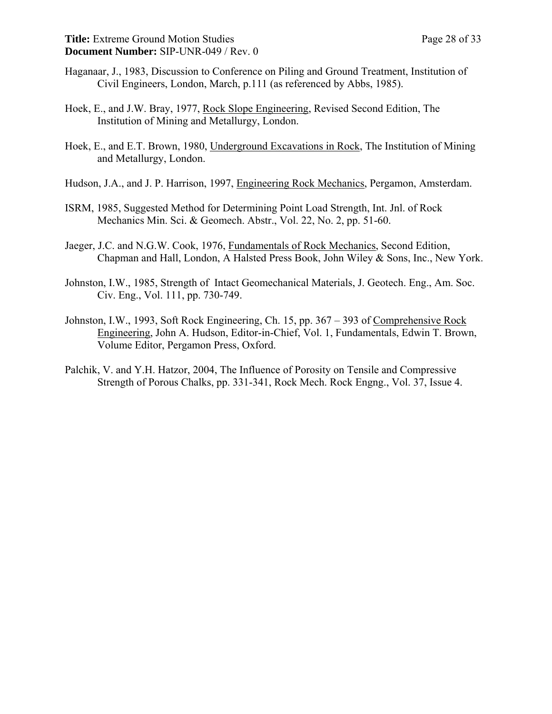- Haganaar, J., 1983, Discussion to Conference on Piling and Ground Treatment, Institution of Civil Engineers, London, March, p.111 (as referenced by Abbs, 1985).
- Hoek, E., and J.W. Bray, 1977, Rock Slope Engineering, Revised Second Edition, The Institution of Mining and Metallurgy, London.
- Hoek, E., and E.T. Brown, 1980, Underground Excavations in Rock, The Institution of Mining and Metallurgy, London.
- Hudson, J.A., and J. P. Harrison, 1997, Engineering Rock Mechanics, Pergamon, Amsterdam.
- ISRM, 1985, Suggested Method for Determining Point Load Strength, Int. Jnl. of Rock Mechanics Min. Sci. & Geomech. Abstr., Vol. 22, No. 2, pp. 51-60.
- Jaeger, J.C. and N.G.W. Cook, 1976, Fundamentals of Rock Mechanics, Second Edition, Chapman and Hall, London, A Halsted Press Book, John Wiley & Sons, Inc., New York.
- Johnston, I.W., 1985, Strength of Intact Geomechanical Materials, J. Geotech. Eng., Am. Soc. Civ. Eng., Vol. 111, pp. 730-749.
- Johnston, I.W., 1993, Soft Rock Engineering, Ch. 15, pp. 367 393 of Comprehensive Rock Engineering, John A. Hudson, Editor-in-Chief, Vol. 1, Fundamentals, Edwin T. Brown, Volume Editor, Pergamon Press, Oxford.
- Palchik, V. and Y.H. Hatzor, 2004, The Influence of Porosity on Tensile and Compressive Strength of Porous Chalks, pp. 331-341, Rock Mech. Rock Engng., Vol. 37, Issue 4.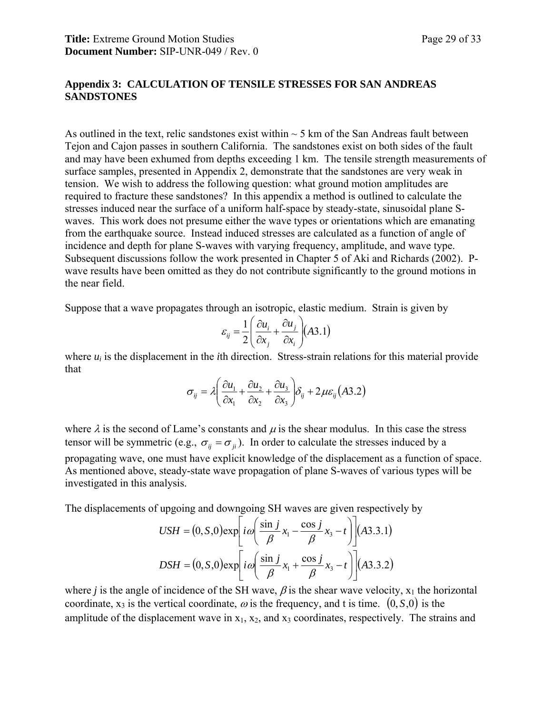#### **Appendix 3: CALCULATION OF TENSILE STRESSES FOR SAN ANDREAS SANDSTONES**

As outlined in the text, relic sandstones exist within  $\sim$  5 km of the San Andreas fault between Tejon and Cajon passes in southern California. The sandstones exist on both sides of the fault and may have been exhumed from depths exceeding 1 km. The tensile strength measurements of surface samples, presented in Appendix 2, demonstrate that the sandstones are very weak in tension. We wish to address the following question: what ground motion amplitudes are required to fracture these sandstones? In this appendix a method is outlined to calculate the stresses induced near the surface of a uniform half-space by steady-state, sinusoidal plane Swaves. This work does not presume either the wave types or orientations which are emanating from the earthquake source. Instead induced stresses are calculated as a function of angle of incidence and depth for plane S-waves with varying frequency, amplitude, and wave type. Subsequent discussions follow the work presented in Chapter 5 of Aki and Richards (2002). Pwave results have been omitted as they do not contribute significantly to the ground motions in the near field.

Suppose that a wave propagates through an isotropic, elastic medium. Strain is given by

$$
\varepsilon_{ij} = \frac{1}{2} \left( \frac{\partial u_i}{\partial x_j} + \frac{\partial u_j}{\partial x_i} \right) (A3.1)
$$

where  $u_i$  is the displacement in the *i*th direction. Stress-strain relations for this material provide that

$$
\sigma_{ij} = \lambda \left( \frac{\partial u_1}{\partial x_1} + \frac{\partial u_2}{\partial x_2} + \frac{\partial u_3}{\partial x_3} \right) \delta_{ij} + 2 \mu \varepsilon_{ij} (A3.2)
$$

where  $\lambda$  is the second of Lame's constants and  $\mu$  is the shear modulus. In this case the stress tensor will be symmetric (e.g.,  $\sigma_{ii} = \sigma_{ii}$ ). In order to calculate the stresses induced by a propagating wave, one must have explicit knowledge of the displacement as a function of space. As mentioned above, steady-state wave propagation of plane S-waves of various types will be investigated in this analysis.

The displacements of upgoing and downgoing SH waves are given respectively by

$$
USH = (0, S, 0) \exp\left[i\omega \left(\frac{\sin j}{\beta} x_1 - \frac{\cos j}{\beta} x_3 - t\right)\right] (A3.3.1)
$$
  

$$
DSH = (0, S, 0) \exp\left[i\omega \left(\frac{\sin j}{\beta} x_1 + \frac{\cos j}{\beta} x_3 - t\right)\right] (A3.3.2)
$$

where *j* is the angle of incidence of the SH wave,  $\beta$  is the shear wave velocity,  $x_1$  the horizontal coordinate,  $x_3$  is the vertical coordinate,  $\omega$  is the frequency, and t is time.  $(0, S, 0)$  is the amplitude of the displacement wave in  $x_1$ ,  $x_2$ , and  $x_3$  coordinates, respectively. The strains and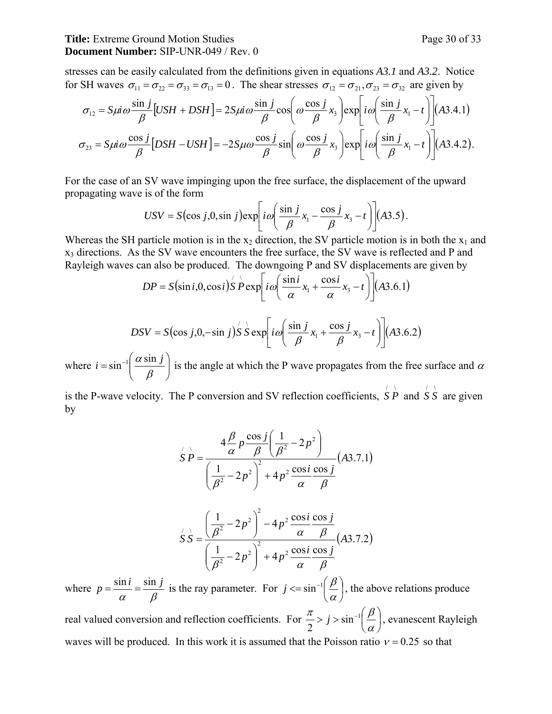#### Title: Extreme Ground Motion Studies Page 30 of 33 **Document Number:** SIP-UNR-049 / Rev. 0

stresses can be easily calculated from the definitions given in equations *A3.1* and *A3.2*. Notice for SH waves  $\sigma_{11} = \sigma_{22} = \sigma_{33} = \sigma_{13} = 0$ . The shear stresses  $\sigma_{12} = \sigma_{21}, \sigma_{23} = \sigma_{32}$  are given by

$$
\sigma_{12} = S\mu i \omega \frac{\sin j}{\beta} [USH + DSH] = 2S\mu i \omega \frac{\sin j}{\beta} \cos \left( \omega \frac{\cos j}{\beta} x_3 \right) \exp \left[ i \omega \left( \frac{\sin j}{\beta} x_1 - t \right) \right] (A3.4.1)
$$
  

$$
\sigma_{23} = S\mu i \omega \frac{\cos j}{\beta} [DSH - USH] = -2S\mu \omega \frac{\cos j}{\beta} \sin \left( \omega \frac{\cos j}{\beta} x_3 \right) \exp \left[ i \omega \left( \frac{\sin j}{\beta} x_1 - t \right) \right] (A3.4.2).
$$

For the case of an SV wave impinging upon the free surface, the displacement of the upward propagating wave is of the form

$$
USV = S(\cos j, 0, \sin j) \exp \left[ i \omega \left( \frac{\sin j}{\beta} x_1 - \frac{\cos j}{\beta} x_3 - t \right) \right] (A3.5).
$$

Whereas the SH particle motion is in the  $x_2$  direction, the SV particle motion is in both the  $x_1$  and x3 directions. As the SV wave encounters the free surface, the SV wave is reflected and P and Rayleigh waves can also be produced. The downgoing P and SV displacements are given by

$$
DP = S(\sin i, 0, \cos i) S' P \exp \left[ i \omega \left( \frac{\sin i}{\alpha} x_1 + \frac{\cos i}{\alpha} x_3 - t \right) \right] (A3.6.1)
$$

$$
DSV = S(\cos j, 0, -\sin j) \overset{\prime}{S} \overset{\cdot}{S} \exp \left[ i \omega \left( \frac{\sin j}{\beta} x_1 + \frac{\cos j}{\beta} x_3 - t \right) \right] (A3.6.2)
$$

where  $i = \sin^{-1} \left| \frac{\alpha \sin j}{\beta} \right|$ ⎠ ⎞  $\overline{\phantom{a}}$ ⎝  $=\sin^{-1}\left(\right)$ β  $i = \sin^{-1} \left( \frac{\alpha \sin j}{\alpha} \right)$  is the angle at which the P wave propagates from the free surface and  $\alpha$ 

is the P-wave velocity. The P conversion and SV reflection coefficients,  $\overrightarrow{S} \overrightarrow{P}$  and  $\overrightarrow{S} \overrightarrow{S}$  are given by

$$
\hat{S}P = \frac{4\frac{\beta}{\alpha}p\frac{\cos j}{\beta}\left(\frac{1}{\beta^2} - 2p^2\right)}{\left(\frac{1}{\beta^2} - 2p^2\right)^2 + 4p^2\frac{\cos i}{\alpha}\frac{\cos j}{\beta}}(A3.7.1)
$$

$$
\dot{S} = \frac{\left(\frac{1}{\beta^2} - 2p^2\right)^2 - 4p^2 \frac{\cos i \cos j}{\alpha \beta}}{\left(\frac{1}{\beta^2} - 2p^2\right)^2 + 4p^2 \frac{\cos i \cos j}{\alpha \beta}} (A3.7.2)
$$

where <sup>α</sup> β  $p = \frac{\sin i}{i} = \frac{\sin j}{i}$  is the ray parameter. For  $j \le \sin^{-1}(\frac{\beta}{i})$ ⎠  $\left(\frac{\beta}{\gamma}\right)$ ⎝  $j \le \sin^{-1}\left(\frac{\beta}{\alpha}\right)$ , the above relations produce real valued conversion and reflection coefficients. For  $\frac{\pi}{2}$  >  $j$  >  $\sin^{-1}$   $\frac{\mu}{2}$ ⎠  $\left(\frac{\beta}{\gamma}\right)$ ⎝  $rac{\pi}{2}$  > *j* > sin<sup>-1</sup> $\left(\frac{\beta}{\alpha}\right)$ , evanescent Rayleigh waves will be produced. In this work it is assumed that the Poisson ratio  $v = 0.25$  so that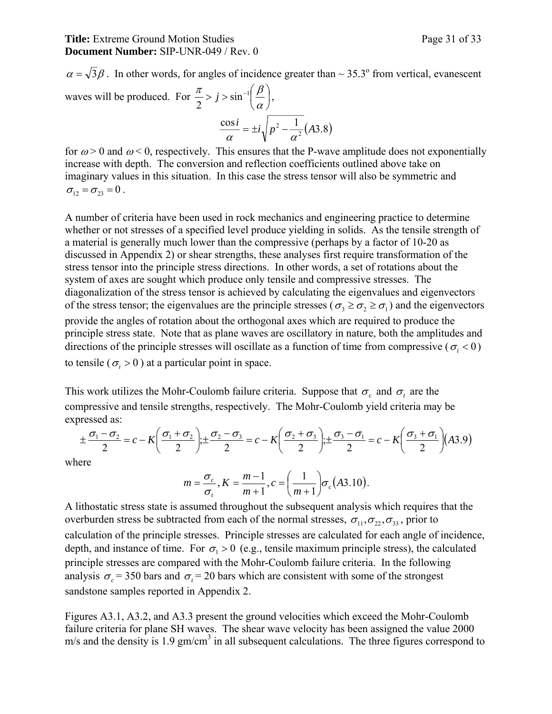$\alpha = \sqrt{3}\beta$ . In other words, for angles of incidence greater than ~ 35.3° from vertical, evanescent waves will be produced. For  $\frac{\pi}{2}$  >  $j$  >  $\sin^{-1}$   $\frac{\mu}{n}$ ⎠  $\left(\frac{\beta}{\gamma}\right)$ ⎝  $rac{\pi}{2}$  >  $j$  >  $\sin^{-1}\left(\frac{\beta}{\alpha}\right)$ ,  $\frac{\cos i}{\alpha} = \pm i \sqrt{p^2 - \frac{1}{\alpha^2}(A3.8)}$ 

for 
$$
\omega
$$
 > 0 and  $\omega$  < 0, respectively. This ensures that the P-wave amplitude does not exponentially increase with depth. The conversion and reflection coefficients outlined above take on imaginary values in this situation. In this case the stress tensor will also be symmetric and  $\sigma_{12} = \sigma_{23} = 0$ .

A number of criteria have been used in rock mechanics and engineering practice to determine whether or not stresses of a specified level produce yielding in solids. As the tensile strength of a material is generally much lower than the compressive (perhaps by a factor of 10-20 as discussed in Appendix 2) or shear strengths, these analyses first require transformation of the stress tensor into the principle stress directions. In other words, a set of rotations about the system of axes are sought which produce only tensile and compressive stresses. The diagonalization of the stress tensor is achieved by calculating the eigenvalues and eigenvectors of the stress tensor; the eigenvalues are the principle stresses ( $\sigma_3 \ge \sigma_2 \ge \sigma_1$ ) and the eigenvectors provide the angles of rotation about the orthogonal axes which are required to produce the principle stress state. Note that as plane waves are oscillatory in nature, both the amplitudes and directions of the principle stresses will oscillate as a function of time from compressive ( $\sigma_i$  < 0) to tensile ( $\sigma_i > 0$ ) at a particular point in space.

This work utilizes the Mohr-Coulomb failure criteria. Suppose that  $\sigma_c$  and  $\sigma_t$  are the compressive and tensile strengths, respectively. The Mohr-Coulomb yield criteria may be expressed as:

$$
\pm \frac{\sigma_1 - \sigma_2}{2} = c - K \left( \frac{\sigma_1 + \sigma_2}{2} \right) \pm \frac{\sigma_2 - \sigma_3}{2} = c - K \left( \frac{\sigma_2 + \sigma_3}{2} \right) \pm \frac{\sigma_3 - \sigma_1}{2} = c - K \left( \frac{\sigma_3 + \sigma_1}{2} \right) (A3.9)
$$

where

$$
m = \frac{\sigma_c}{\sigma_t}, K = \frac{m-1}{m+1}, c = \left(\frac{1}{m+1}\right) \sigma_c (A3.10).
$$

A lithostatic stress state is assumed throughout the subsequent analysis which requires that the overburden stress be subtracted from each of the normal stresses,  $\sigma_{11}, \sigma_{22}, \sigma_{33}$ , prior to calculation of the principle stresses. Principle stresses are calculated for each angle of incidence, depth, and instance of time. For  $\sigma_1 > 0$  (e.g., tensile maximum principle stress), the calculated principle stresses are compared with the Mohr-Coulomb failure criteria. In the following analysis  $\sigma_c$  = 350 bars and  $\sigma_t$  = 20 bars which are consistent with some of the strongest sandstone samples reported in Appendix 2.

Figures A3.1, A3.2, and A3.3 present the ground velocities which exceed the Mohr-Coulomb failure criteria for plane SH waves. The shear wave velocity has been assigned the value 2000  $m/s$  and the density is 1.9 gm/cm<sup>3</sup> in all subsequent calculations. The three figures correspond to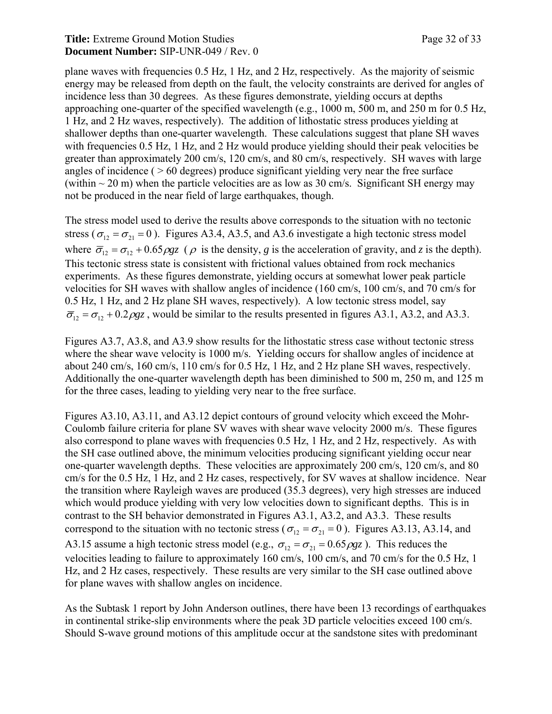#### Title: Extreme Ground Motion Studies Page 32 of 33 **Document Number:** SIP-UNR-049 / Rev. 0

plane waves with frequencies 0.5 Hz, 1 Hz, and 2 Hz, respectively. As the majority of seismic energy may be released from depth on the fault, the velocity constraints are derived for angles of incidence less than 30 degrees. As these figures demonstrate, yielding occurs at depths approaching one-quarter of the specified wavelength (e.g., 1000 m, 500 m, and 250 m for 0.5 Hz, 1 Hz, and 2 Hz waves, respectively). The addition of lithostatic stress produces yielding at shallower depths than one-quarter wavelength. These calculations suggest that plane SH waves with frequencies 0.5 Hz, 1 Hz, and 2 Hz would produce yielding should their peak velocities be greater than approximately 200 cm/s, 120 cm/s, and 80 cm/s, respectively. SH waves with large angles of incidence ( $>60$  degrees) produce significant yielding very near the free surface (within  $\sim$  20 m) when the particle velocities are as low as 30 cm/s. Significant SH energy may not be produced in the near field of large earthquakes, though.

The stress model used to derive the results above corresponds to the situation with no tectonic stress ( $\sigma_{12} = \sigma_{21} = 0$ ). Figures A3.4, A3.5, and A3.6 investigate a high tectonic stress model where  $\overline{\sigma}_{12} = \sigma_{12} + 0.65 \rho g z$  ( $\rho$  is the density, *g* is the acceleration of gravity, and *z* is the depth). This tectonic stress state is consistent with frictional values obtained from rock mechanics experiments. As these figures demonstrate, yielding occurs at somewhat lower peak particle velocities for SH waves with shallow angles of incidence (160 cm/s, 100 cm/s, and 70 cm/s for 0.5 Hz, 1 Hz, and 2 Hz plane SH waves, respectively). A low tectonic stress model, say  $\overline{\sigma}_{12} = \sigma_{12} + 0.2 \rho g z$ , would be similar to the results presented in figures A3.1, A3.2, and A3.3.

Figures A3.7, A3.8, and A3.9 show results for the lithostatic stress case without tectonic stress where the shear wave velocity is 1000 m/s. Yielding occurs for shallow angles of incidence at about 240 cm/s, 160 cm/s, 110 cm/s for 0.5 Hz, 1 Hz, and 2 Hz plane SH waves, respectively. Additionally the one-quarter wavelength depth has been diminished to 500 m, 250 m, and 125 m for the three cases, leading to yielding very near to the free surface.

Figures A3.10, A3.11, and A3.12 depict contours of ground velocity which exceed the Mohr-Coulomb failure criteria for plane SV waves with shear wave velocity 2000 m/s. These figures also correspond to plane waves with frequencies 0.5 Hz, 1 Hz, and 2 Hz, respectively. As with the SH case outlined above, the minimum velocities producing significant yielding occur near one-quarter wavelength depths. These velocities are approximately 200 cm/s, 120 cm/s, and 80 cm/s for the 0.5 Hz, 1 Hz, and 2 Hz cases, respectively, for SV waves at shallow incidence. Near the transition where Rayleigh waves are produced (35.3 degrees), very high stresses are induced which would produce yielding with very low velocities down to significant depths. This is in contrast to the SH behavior demonstrated in Figures A3.1, A3.2, and A3.3. These results correspond to the situation with no tectonic stress ( $\sigma_{12} = \sigma_{21} = 0$ ). Figures A3.13, A3.14, and A3.15 assume a high tectonic stress model (e.g.,  $\sigma_{12} = \sigma_{21} = 0.65 \rho g z$ ). This reduces the velocities leading to failure to approximately 160 cm/s, 100 cm/s, and 70 cm/s for the 0.5 Hz, 1 Hz, and 2 Hz cases, respectively. These results are very similar to the SH case outlined above for plane waves with shallow angles on incidence.

As the Subtask 1 report by John Anderson outlines, there have been 13 recordings of earthquakes in continental strike-slip environments where the peak 3D particle velocities exceed 100 cm/s. Should S-wave ground motions of this amplitude occur at the sandstone sites with predominant